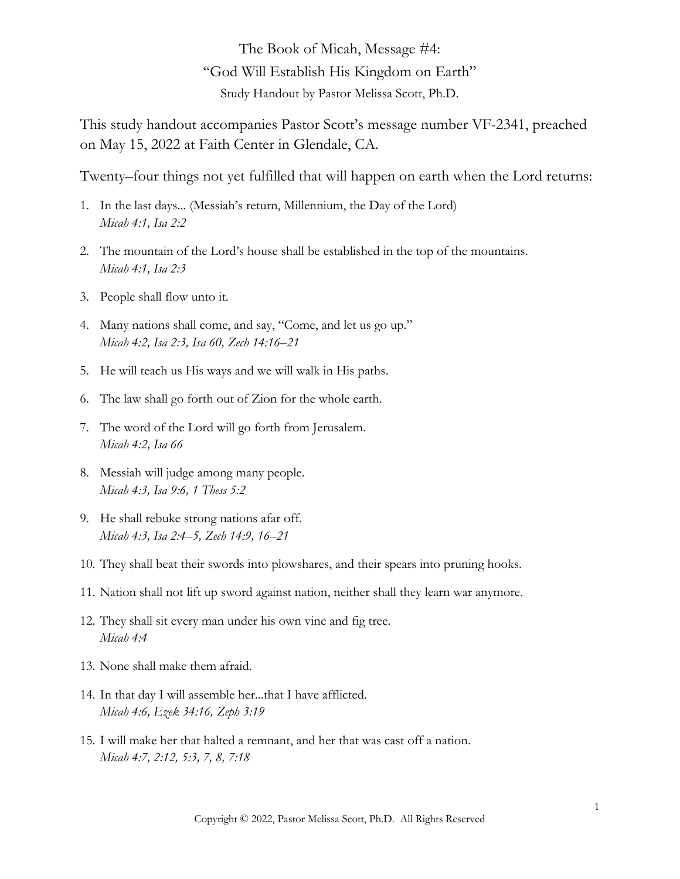The Book of Micah, Message #4: "God Will Establish His Kingdom on Earth" Study Handout by Pastor Melissa Scott, Ph.D.

This study handout accompanies Pastor Scott's message number VF-2341, preached on May 15, 2022 at Faith Center in Glendale, CA.

Twenty–four things not yet fulfilled that will happen on earth when the Lord returns:

- 1. In the last days... (Messiah's return, Millennium, the Day of the Lord) *Micah 4:1, Isa 2:2*
- 2. The mountain of the Lord's house shall be established in the top of the mountains.  *Micah 4:1, Isa 2:3*
- 3. People shall flow unto it.
- 4. Many nations shall come, and say, "Come, and let us go up."  *Micah 4:2, Isa 2:3, Isa 60, Zech 14:16–21*
- 5. He will teach us His ways and we will walk in His paths.
- 6. The law shall go forth out of Zion for the whole earth.
- 7. The word of the Lord will go forth from Jerusalem.  *Micah 4:2, Isa 66*
- 8. Messiah will judge among many people.  *Micah 4:3, Isa 9:6, 1 Thess 5:2*
- 9. He shall rebuke strong nations afar off.  *Micah 4:3, Isa 2:4–5, Zech 14:9, 16–21*
- 10. They shall beat their swords into plowshares, and their spears into pruning hooks.
- 11. Nation shall not lift up sword against nation, neither shall they learn war anymore.
- 12. They shall sit every man under his own vine and fig tree.  *Micah 4:4*
- 13. None shall make them afraid.
- 14. In that day I will assemble her...that I have afflicted.  *Micah 4:6, Ezek 34:16, Zeph 3:19*
- 15. I will make her that halted a remnant, and her that was cast off a nation.  *Micah 4:7, 2:12, 5:3, 7, 8, 7:18*